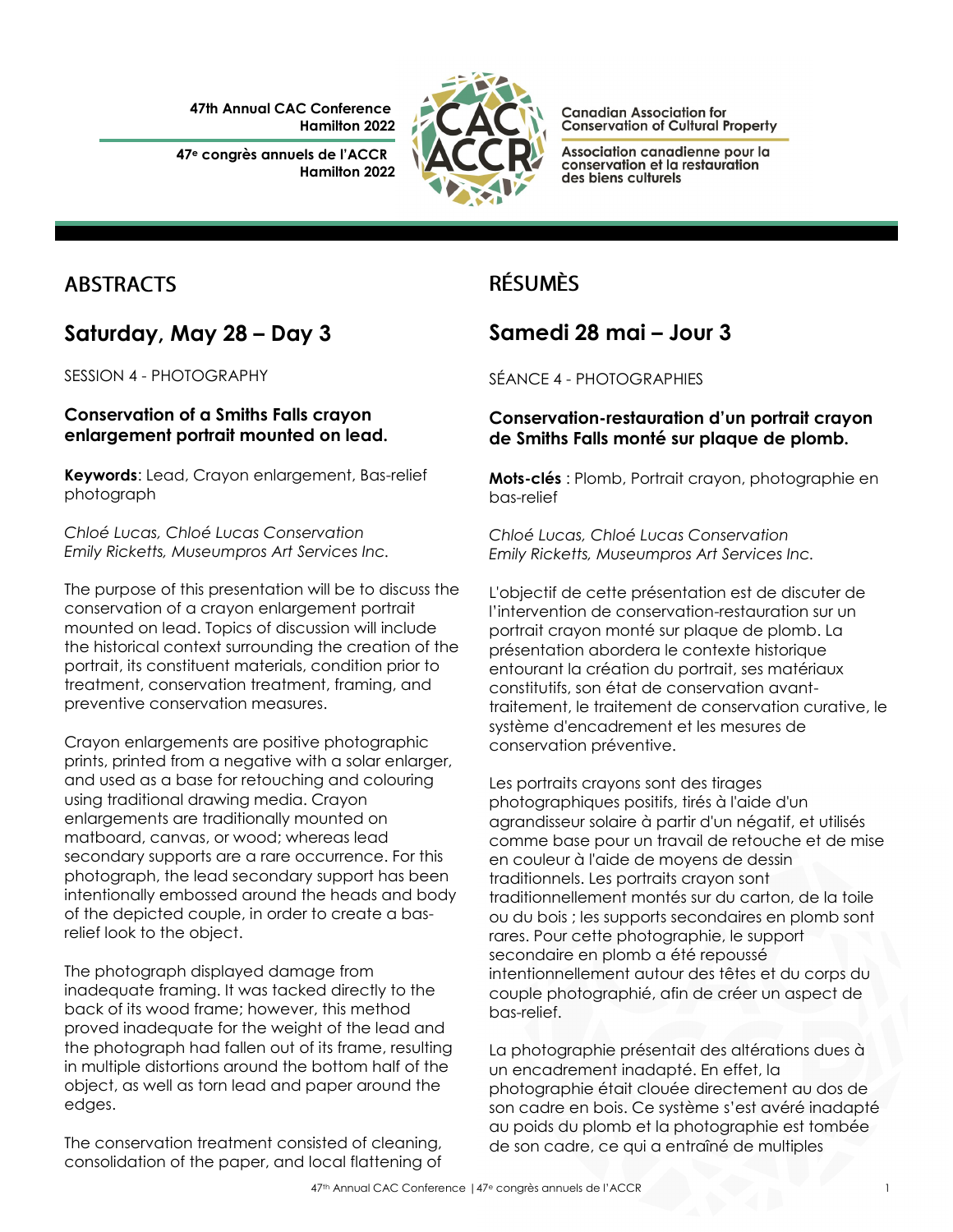**47th Annual CAC Conference Hamilton 2022**

**47<sup>e</sup> congrès annuels de l'ACCR Hamilton 2022**



**Canadian Association for Conservation of Cultural Property** 

Association canadienne pour la conservation et la restauration des biens culturels

## **ABSTRACTS**

### **Saturday, May 28 – Day 3**

SESSION 4 - PHOTOGRAPHY

#### **Conservation of a Smiths Falls crayon enlargement portrait mounted on lead.**

**Keywords**: Lead, Crayon enlargement, Bas-relief photograph

*Chloé Lucas, Chloé Lucas Conservation Emily Ricketts, Museumpros Art Services Inc.*

The purpose of this presentation will be to discuss the conservation of a crayon enlargement portrait mounted on lead. Topics of discussion will include the historical context surrounding the creation of the portrait, its constituent materials, condition prior to treatment, conservation treatment, framing, and preventive conservation measures.

Crayon enlargements are positive photographic prints, printed from a negative with a solar enlarger, and used as a base for retouching and colouring using traditional drawing media. Crayon enlargements are traditionally mounted on matboard, canvas, or wood; whereas lead secondary supports are a rare occurrence. For this photograph, the lead secondary support has been intentionally embossed around the heads and body of the depicted couple, in order to create a basrelief look to the object.

The photograph displayed damage from inadequate framing. It was tacked directly to the back of its wood frame; however, this method proved inadequate for the weight of the lead and the photograph had fallen out of its frame, resulting in multiple distortions around the bottom half of the object, as well as torn lead and paper around the edges.

The conservation treatment consisted of cleaning, consolidation of the paper, and local flattening of

# **RÉSUMÈS**

## **Samedi 28 mai – Jour 3**

SÉANCE 4 - PHOTOGRAPHIES

#### **Conservation-restauration d'un portrait crayon de Smiths Falls monté sur plaque de plomb.**

**Mots-clés** : Plomb, Portrait crayon, photographie en bas-relief

*Chloé Lucas, Chloé Lucas Conservation Emily Ricketts, Museumpros Art Services Inc.*

L'objectif de cette présentation est de discuter de l'intervention de conservation-restauration sur un portrait crayon monté sur plaque de plomb. La présentation abordera le contexte historique entourant la création du portrait, ses matériaux constitutifs, son état de conservation avanttraitement, le traitement de conservation curative, le système d'encadrement et les mesures de conservation préventive.

Les portraits crayons sont des tirages photographiques positifs, tirés à l'aide d'un agrandisseur solaire à partir d'un négatif, et utilisés comme base pour un travail de retouche et de mise en couleur à l'aide de moyens de dessin traditionnels. Les portraits crayon sont traditionnellement montés sur du carton, de la toile ou du bois ; les supports secondaires en plomb sont rares. Pour cette photographie, le support secondaire en plomb a été repoussé intentionnellement autour des têtes et du corps du couple photographié, afin de créer un aspect de bas-relief.

La photographie présentait des altérations dues à un encadrement inadapté. En effet, la photographie était clouée directement au dos de son cadre en bois. Ce système s'est avéré inadapté au poids du plomb et la photographie est tombée de son cadre, ce qui a entraîné de multiples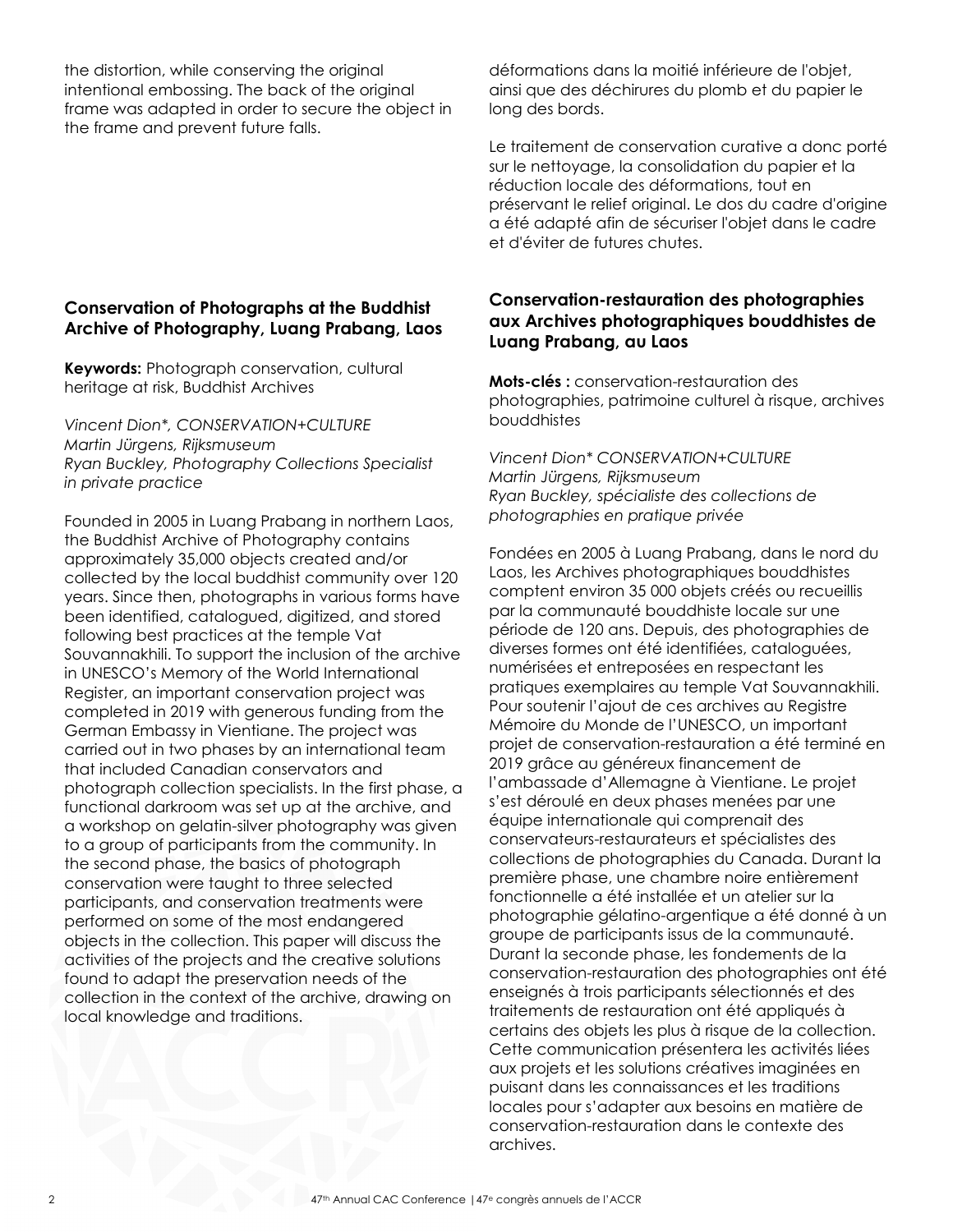the distortion, while conserving the original intentional embossing. The back of the original frame was adapted in order to secure the object in the frame and prevent future falls.

#### **Conservation of Photographs at the Buddhist Archive of Photography, Luang Prabang, Laos**

**Keywords:** Photograph conservation, cultural heritage at risk, Buddhist Archives

*Vincent Dion\*, CONSERVATION+CULTURE Martin Jürgens, Rijksmuseum Ryan Buckley, Photography Collections Specialist in private practice*

Founded in 2005 in Luang Prabang in northern Laos, the Buddhist Archive of Photography contains approximately 35,000 objects created and/or collected by the local buddhist community over 120 years. Since then, photographs in various forms have been identified, catalogued, digitized, and stored following best practices at the temple Vat Souvannakhili. To support the inclusion of the archive in UNESCO's Memory of the World International Register, an important conservation project was completed in 2019 with generous funding from the German Embassy in Vientiane. The project was carried out in two phases by an international team that included Canadian conservators and photograph collection specialists. In the first phase, a functional darkroom was set up at the archive, and a workshop on gelatin-silver photography was given to a group of participants from the community. In the second phase, the basics of photograph conservation were taught to three selected participants, and conservation treatments were performed on some of the most endangered objects in the collection. This paper will discuss the activities of the projects and the creative solutions found to adapt the preservation needs of the collection in the context of the archive, drawing on local knowledge and traditions.

déformations dans la moitié inférieure de l'objet, ainsi que des déchirures du plomb et du papier le long des bords.

Le traitement de conservation curative a donc porté sur le nettoyage, la consolidation du papier et la réduction locale des déformations, tout en préservant le relief original. Le dos du cadre d'origine a été adapté afin de sécuriser l'objet dans le cadre et d'éviter de futures chutes.

#### **Conservation-restauration des photographies aux Archives photographiques bouddhistes de Luang Prabang, au Laos**

**Mots-clés :** conservation-restauration des photographies, patrimoine culturel à risque, archives bouddhistes

*Vincent Dion\* CONSERVATION+CULTURE Martin Jürgens, Rijksmuseum Ryan Buckley, spécialiste des collections de photographies en pratique privée*

Fondées en 2005 à Luang Prabang, dans le nord du Laos, les Archives photographiques bouddhistes comptent environ 35 000 objets créés ou recueillis par la communauté bouddhiste locale sur une période de 120 ans. Depuis, des photographies de diverses formes ont été identifiées, cataloguées, numérisées et entreposées en respectant les pratiques exemplaires au temple Vat Souvannakhili. Pour soutenir l'ajout de ces archives au Registre Mémoire du Monde de l'UNESCO, un important projet de conservation-restauration a été terminé en 2019 grâce au généreux financement de l'ambassade d'Allemagne à Vientiane. Le projet s'est déroulé en deux phases menées par une équipe internationale qui comprenait des conservateurs-restaurateurs et spécialistes des collections de photographies du Canada. Durant la première phase, une chambre noire entièrement fonctionnelle a été installée et un atelier sur la photographie gélatino-argentique a été donné à un groupe de participants issus de la communauté. Durant la seconde phase, les fondements de la conservation-restauration des photographies ont été enseignés à trois participants sélectionnés et des traitements de restauration ont été appliqués à certains des objets les plus à risque de la collection. Cette communication présentera les activités liées aux projets et les solutions créatives imaginées en puisant dans les connaissances et les traditions locales pour s'adapter aux besoins en matière de conservation-restauration dans le contexte des archives.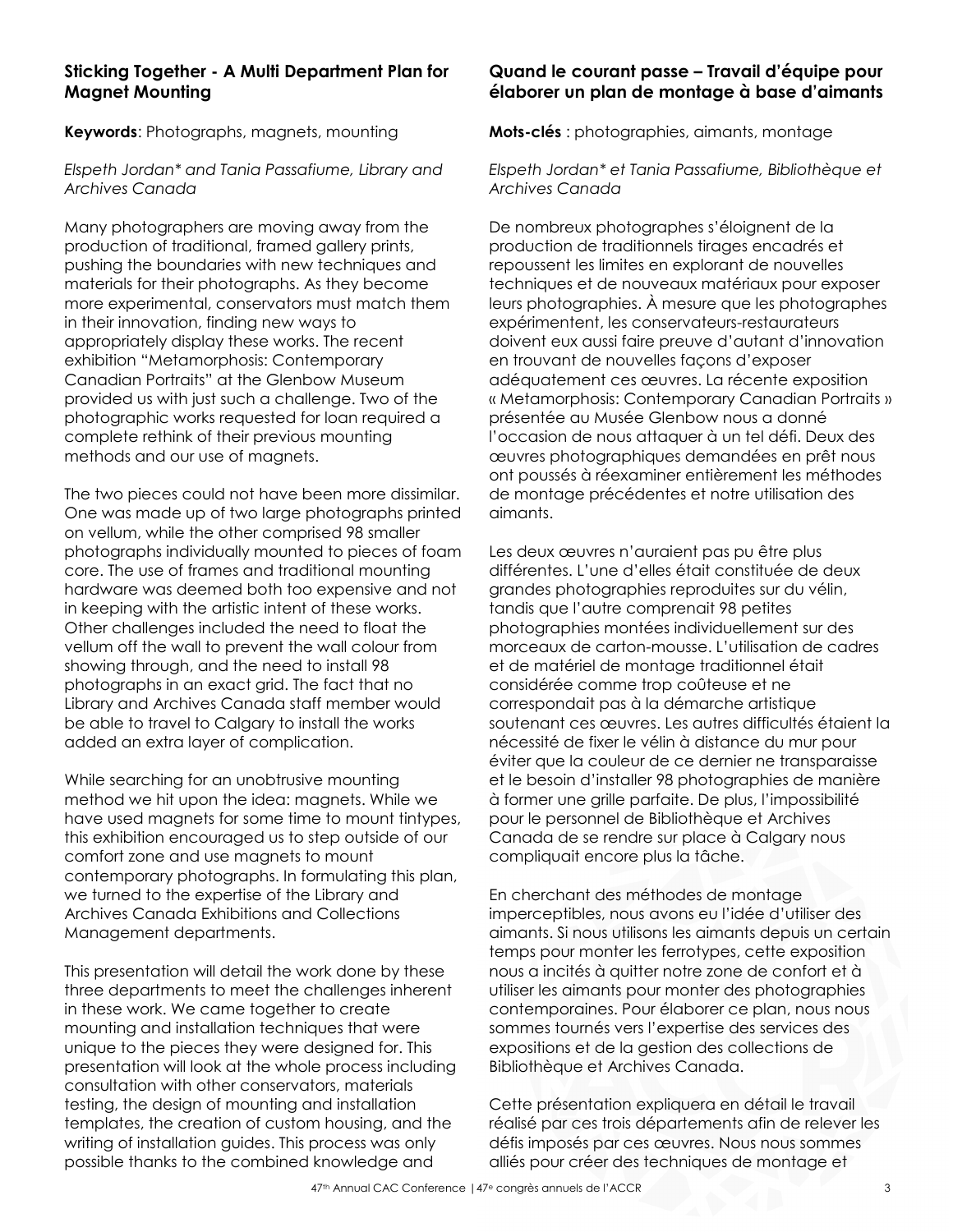#### **Sticking Together - A Multi Department Plan for Magnet Mounting**

**Keywords**: Photographs, magnets, mounting

*Elspeth Jordan\* and Tania Passafiume, Library and Archives Canada*

Many photographers are moving away from the production of traditional, framed gallery prints, pushing the boundaries with new techniques and materials for their photographs. As they become more experimental, conservators must match them in their innovation, finding new ways to appropriately display these works. The recent exhibition "Metamorphosis: Contemporary Canadian Portraits" at the Glenbow Museum provided us with just such a challenge. Two of the photographic works requested for loan required a complete rethink of their previous mounting methods and our use of magnets.

The two pieces could not have been more dissimilar. One was made up of two large photographs printed on vellum, while the other comprised 98 smaller photographs individually mounted to pieces of foam core. The use of frames and traditional mounting hardware was deemed both too expensive and not in keeping with the artistic intent of these works. Other challenges included the need to float the vellum off the wall to prevent the wall colour from showing through, and the need to install 98 photographs in an exact grid. The fact that no Library and Archives Canada staff member would be able to travel to Calgary to install the works added an extra layer of complication.

While searching for an unobtrusive mounting method we hit upon the idea: magnets. While we have used magnets for some time to mount tintypes, this exhibition encouraged us to step outside of our comfort zone and use magnets to mount contemporary photographs. In formulating this plan, we turned to the expertise of the Library and Archives Canada Exhibitions and Collections Management departments.

This presentation will detail the work done by these three departments to meet the challenges inherent in these work. We came together to create mounting and installation techniques that were unique to the pieces they were designed for. This presentation will look at the whole process including consultation with other conservators, materials testing, the design of mounting and installation templates, the creation of custom housing, and the writing of installation guides. This process was only possible thanks to the combined knowledge and

#### **Quand le courant passe – Travail d'équipe pour élaborer un plan de montage à base d'aimants**

**Mots-clés** : photographies, aimants, montage

*Elspeth Jordan\* et Tania Passafiume, Bibliothèque et Archives Canada*

De nombreux photographes s'éloignent de la production de traditionnels tirages encadrés et repoussent les limites en explorant de nouvelles techniques et de nouveaux matériaux pour exposer leurs photographies. À mesure que les photographes expérimentent, les conservateurs-restaurateurs doivent eux aussi faire preuve d'autant d'innovation en trouvant de nouvelles façons d'exposer adéquatement ces œuvres. La récente exposition « Metamorphosis: Contemporary Canadian Portraits » présentée au Musée Glenbow nous a donné l'occasion de nous attaquer à un tel défi. Deux des œuvres photographiques demandées en prêt nous ont poussés à réexaminer entièrement les méthodes de montage précédentes et notre utilisation des aimants.

Les deux œuvres n'auraient pas pu être plus différentes. L'une d'elles était constituée de deux grandes photographies reproduites sur du vélin, tandis que l'autre comprenait 98 petites photographies montées individuellement sur des morceaux de carton-mousse. L'utilisation de cadres et de matériel de montage traditionnel était considérée comme trop coûteuse et ne correspondait pas à la démarche artistique soutenant ces œuvres. Les autres difficultés étaient la nécessité de fixer le vélin à distance du mur pour éviter que la couleur de ce dernier ne transparaisse et le besoin d'installer 98 photographies de manière à former une grille parfaite. De plus, l'impossibilité pour le personnel de Bibliothèque et Archives Canada de se rendre sur place à Calgary nous compliquait encore plus la tâche.

En cherchant des méthodes de montage imperceptibles, nous avons eu l'idée d'utiliser des aimants. Si nous utilisons les aimants depuis un certain temps pour monter les ferrotypes, cette exposition nous a incités à quitter notre zone de confort et à utiliser les aimants pour monter des photographies contemporaines. Pour élaborer ce plan, nous nous sommes tournés vers l'expertise des services des expositions et de la gestion des collections de Bibliothèque et Archives Canada.

Cette présentation expliquera en détail le travail réalisé par ces trois départements afin de relever les défis imposés par ces œuvres. Nous nous sommes alliés pour créer des techniques de montage et